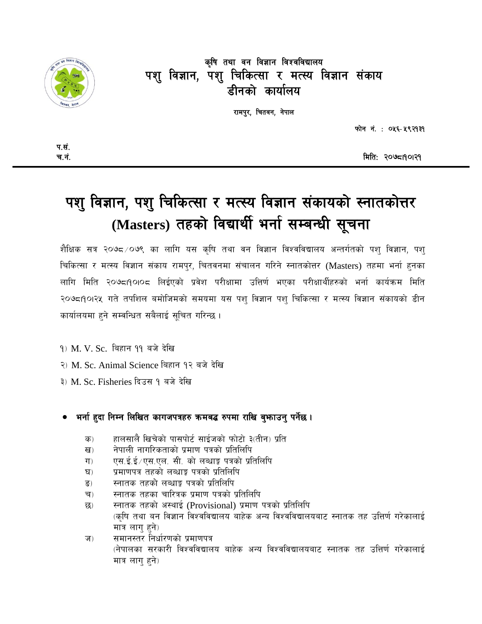

## कृषि तथा वन विज्ञान विश्वविद्यालय पशु विज्ञान, पशु चिकित्सा र मत्स्य विज्ञान संकाय डीनको कार्यालय

रामपुर, चितवन, नेपाल

फोन नं.: ०५६-५९२१३१

मिति: २०७८1901२9

# पशु विज्ञान, पशु चिकित्सा र मत्स्य विज्ञान संकायको स्नातकोत्तर (Masters) तहको विद्यार्थी भर्ना सम्बन्धी सूचना

शैक्षिक सत्र २०७८ ⁄०७९ का लागि यस कृषि तथा वन विज्ञान विश्वविद्यालय अन्तर्गतको पशु विज्ञान, पशु चिकित्सा र मत्स्य विज्ञान संकाय रामपर, चितवनमा संचालन गरिने स्नातकोत्तर (Masters) तहमा भर्ना हनका लागि मिति २०७८।१०।०८ लिईएको प्रवेश परीक्षामा उत्तिर्ण भएका परीक्षार्थीहरुको भर्ना कार्यक्रम मिति २०७८।१०।२५ गते तपशिल बमोजिमको समयमा यस पशु विज्ञान पशु चिकित्सा र मत्स्य विज्ञान संकायको डीन कार्यालयमा हुने सम्वन्धित सबैलाई सुचित गरिन्छ ।

9) M. V. Sc. बिहान 99 बजे देखि

- २) M. Sc. Animal Science बिहान १२ बजे देखि
- ३) M. Sc. Fisheries दिउस १ बजे देखि

### भर्ना हुदा निम्न लिखित कागजपत्रहरु कमबद्ध रुपमा राखि बुभ्फाउन् पर्नेछ ।

- हालसालै खिचेको पासपोर्ट साईजको फोटो ३(तीन) प्रति क)
- नेपाली नागरिकताको प्रमाण पत्रको प्रतिलिपि ख)
- $\Pi$ ) एस.ई.ई ⁄ एस.एल. सी. को लब्धाङ्क पत्रको प्रतिलिपि
- प्रमाणपत्र तहको लब्धाङ्क पत्रको प्रतिलिपि  $\mathbf{z}$
- स्नातक तहको लब्धाङ् पत्रको प्रतिलिपि  $\overline{S}$ )
- स्नातक तहका चारित्रक प्रमाण पत्रको प्रतिलिपि च)
- स्नातक तहको अस्थाई (Provisional) प्रमाण पत्रको प्रतिलिपि  $\overline{52}$ ) (कषि तथा बन विज्ञान विश्वविद्यालय बाहेक अन्य विश्वविद्यालयबाट स्नातक तह उत्तिर्ण गरेकालाई मात्र लाग हने)
- समानस्तर निर्धारणको प्रमाणपत्र ज $)$ (नेपालका सरकारी विश्वविद्यालय बाहेक अन्य विश्वविद्यालयबाट स्नातक तह उत्तिर्ण गरेकालाई मात्र लाग हने)

प.सं. च.नं.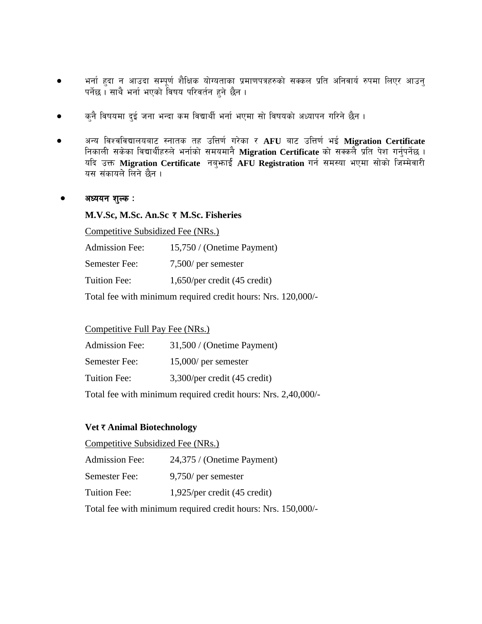- भर्ना हुदा न आउदा सम्पूर्ण शैक्षिक योग्यताका प्रमाणपत्रहरुको सक्कल प्रति अनिवार्य रुपमा लिएर आउनु पर्नेछ । साथै भर्ना भएको विषय परिवर्तन हने छैन ।
- $\bullet$   $\qquad$  कुनै विषयमा दुई जना भन्दा कम विद्यार्थी भर्ना भएमा सो विषयको अध्यापन गरिने छैन ।
- $\bullet$  अन्य विश्वविद्यालयबाट स्नातक तह उत्तिर्ण गरेका र AFU बाट उत्तिर्ण भई Migration Certificate निकाली सकेका विद्यार्थीहरुले भर्नाको समयमानै **Migration Certificate** को सक्कलै प्रति पेश गर्नुपर्नेछ । यदि उक्त Migration Certificate नब्*भाई AFU Registration गर्न समस्या भएमा सोको जिम्मेवारी* यस संकायले लिने छैन ।

#### $\bullet$  अध्ययन शुल्क :

#### **M.V.Sc, M.Sc. An.Sc** / **M.Sc. Fisheries**

Competitive Subsidized Fee (NRs.)

| <b>Admission Fee:</b> | 15,750 / (Onetime Payment)      |
|-----------------------|---------------------------------|
| Semester Fee:         | $7,500$ per semester            |
| Tuition Fee:          | $1,650$ /per credit (45 credit) |

Total fee with minimum required credit hours: Nrs. 120,000/-

#### Competitive Full Pay Fee (NRs.)

| <b>Admission Fee:</b> | 31,500 / (Onetime Payment)      |
|-----------------------|---------------------------------|
| Semester Fee:         | $15,000$ per semester           |
| Tuition Fee:          | $3,300$ /per credit (45 credit) |
| $-1$ $-1$             |                                 |

Total fee with minimum required credit hours: Nrs. 2,40,000/-

#### **Vet ₹ Animal Biotechnology**

| Competitive Subsidized Fee (NRs.) |                                 |
|-----------------------------------|---------------------------------|
| <b>Admission Fee:</b>             | 24,375 / (Onetime Payment)      |
| Semester Fee:                     | $9,750$ per semester            |
| Tuition Fee:                      | $1,925$ /per credit (45 credit) |
|                                   |                                 |

Total fee with minimum required credit hours: Nrs. 150,000/-